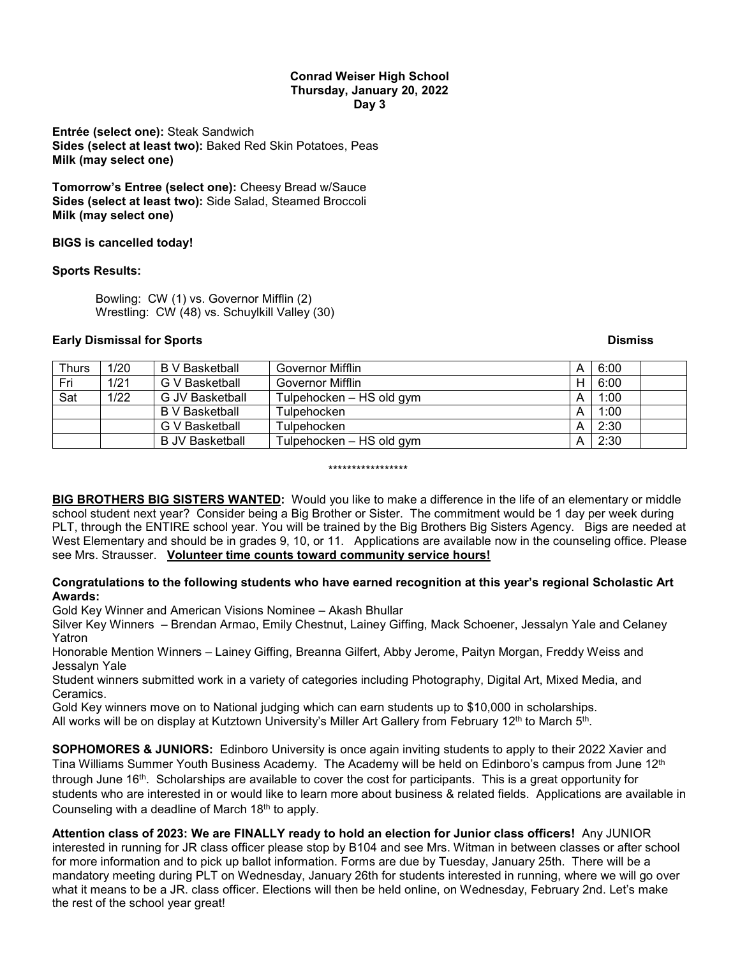#### **Conrad Weiser High School Thursday, January 20, 2022 Day 3**

**Entrée (select one):** Steak Sandwich **Sides (select at least two):** Baked Red Skin Potatoes, Peas **Milk (may select one)**

**Tomorrow's Entree (select one):** Cheesy Bread w/Sauce **Sides (select at least two):** Side Salad, Steamed Broccoli **Milk (may select one)**

## **BIGS is cancelled today!**

## **Sports Results:**

Bowling: CW (1) vs. Governor Mifflin (2) Wrestling: CW (48) vs. Schuylkill Valley (30)

### **Early Dismissal for Sports Community Community Community Community Community Community Community Community Community**

| <b>Thurs</b> | 1/20 | B V Basketball         | Governor Mifflin         | A | 6:00 |  |
|--------------|------|------------------------|--------------------------|---|------|--|
| Fri          | 1/21 | G V Basketball         | Governor Mifflin         | н | 6:00 |  |
| Sat          | 1/22 | G JV Basketball        | Tulpehocken - HS old gym | А | 1:00 |  |
|              |      | B V Basketball         | Tulpehocken              | А | 1:00 |  |
|              |      | G V Basketball         | Tulpehocken              | A | 2:30 |  |
|              |      | <b>B</b> JV Basketball | Tulpehocken - HS old gym | А | 2:30 |  |

\*\*\*\*\*\*\*\*\*\*\*\*\*\*\*\*\*

**BIG BROTHERS BIG SISTERS WANTED:** Would you like to make a difference in the life of an elementary or middle school student next year? Consider being a Big Brother or Sister. The commitment would be 1 day per week during PLT, through the ENTIRE school year. You will be trained by the Big Brothers Big Sisters Agency. Bigs are needed at West Elementary and should be in grades 9, 10, or 11. Applications are available now in the counseling office. Please see Mrs. Strausser. **Volunteer time counts toward community service hours!**

# **Congratulations to the following students who have earned recognition at this year's regional Scholastic Art Awards:**

Gold Key Winner and American Visions Nominee – Akash Bhullar

Silver Key Winners – Brendan Armao, Emily Chestnut, Lainey Giffing, Mack Schoener, Jessalyn Yale and Celaney Yatron

Honorable Mention Winners – Lainey Giffing, Breanna Gilfert, Abby Jerome, Paityn Morgan, Freddy Weiss and Jessalyn Yale

Student winners submitted work in a variety of categories including Photography, Digital Art, Mixed Media, and Ceramics.

Gold Key winners move on to National judging which can earn students up to \$10,000 in scholarships.

All works will be on display at Kutztown University's Miller Art Gallery from February 12<sup>th</sup> to March 5<sup>th</sup>.

**SOPHOMORES & JUNIORS:** Edinboro University is once again inviting students to apply to their 2022 Xavier and Tina Williams Summer Youth Business Academy. The Academy will be held on Edinboro's campus from June 12<sup>th</sup> through June 16th. Scholarships are available to cover the cost for participants. This is a great opportunity for students who are interested in or would like to learn more about business & related fields. Applications are available in Counseling with a deadline of March 18<sup>th</sup> to apply.

**Attention class of 2023: We are FINALLY ready to hold an election for Junior class officers!** Any JUNIOR interested in running for JR class officer please stop by B104 and see Mrs. Witman in between classes or after school for more information and to pick up ballot information. Forms are due by Tuesday, January 25th. There will be a mandatory meeting during PLT on Wednesday, January 26th for students interested in running, where we will go over what it means to be a JR. class officer. Elections will then be held online, on Wednesday, February 2nd. Let's make the rest of the school year great!